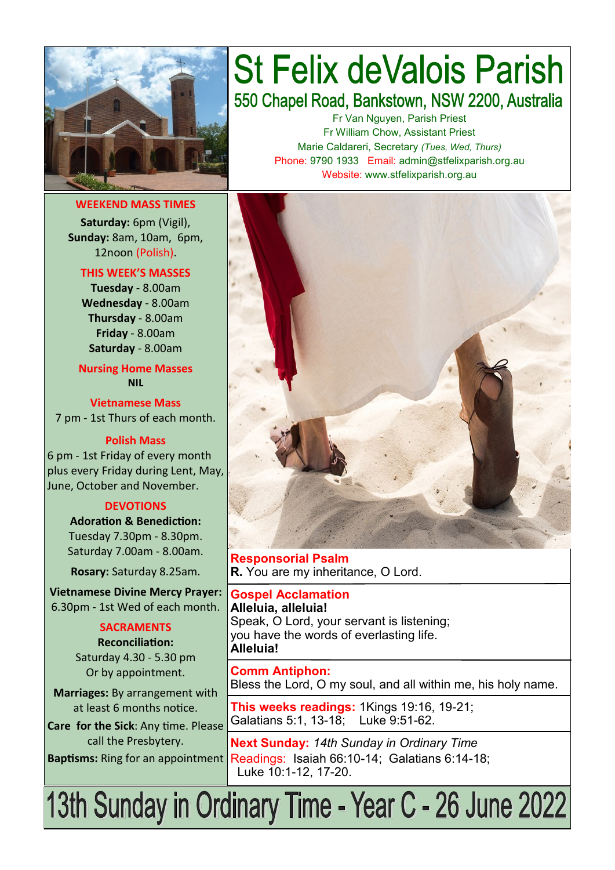

**WEEKEND MASS TIMES Saturday:** 6pm (Vigil), **Sunday:** 8am, 10am, 6pm, 12noon (Polish).

**THIS WEEK'S MASSES Tuesday** - 8.00am **Wednesday** - 8.00am **Thursday** - 8.00am **Friday** - 8.00am **Saturday** - 8.00am

**Nursing Home Masses NIL**

**Vietnamese Mass** 7 pm - 1st Thurs of each month.

#### **Polish Mass**

6 pm - 1st Friday of every month plus every Friday during Lent, May, June, October and November.

#### **DEVOTIONS**

**Adoration & Benediction:**  Tuesday 7.30pm - 8.30pm. Saturday 7.00am - 8.00am.

**Rosary:** Saturday 8.25am.

**Vietnamese Divine Mercy Prayer:** 6.30pm - 1st Wed of each month.

#### **SACRAMENTS**

**Reconciliation:**  Saturday 4.30 - 5.30 pm Or by appointment.

**Marriages:** By arrangement with at least 6 months notice. **Care for the Sick**: Any time. Please

call the Presbytery.

# **St Felix deValois Parish** 550 Chapel Road, Bankstown, NSW 2200, Australia

Fr Van Nguyen, Parish Priest Fr William Chow, Assistant Priest Marie Caldareri, Secretary *(Tues, Wed, Thurs)* Phone: 9790 1933 Email: admin@stfelixparish.org.au Website: www.stfelixparish.org.au



**Responsorial Psalm R.** You are my inheritance, O Lord.

**Gospel Acclamation Alleluia, alleluia!** Speak, O Lord, your servant is listening; you have the words of everlasting life. **Alleluia!**

**Comm Antiphon:**  Bless the Lord, O my soul, and all within me, his holy name.

**This weeks readings:** 1Kings 19:16, 19-21; Galatians 5:1, 13-18; Luke 9:51-62.

**Next Sunday:** *14th Sunday in Ordinary Time* Baptisms: Ring for an appointment Readings: Isaiah 66:10-14; Galatians 6:14-18; Luke 10:1-12, 17-20.

13th Sunday in Ordinary Time - Year C - 26 June 2022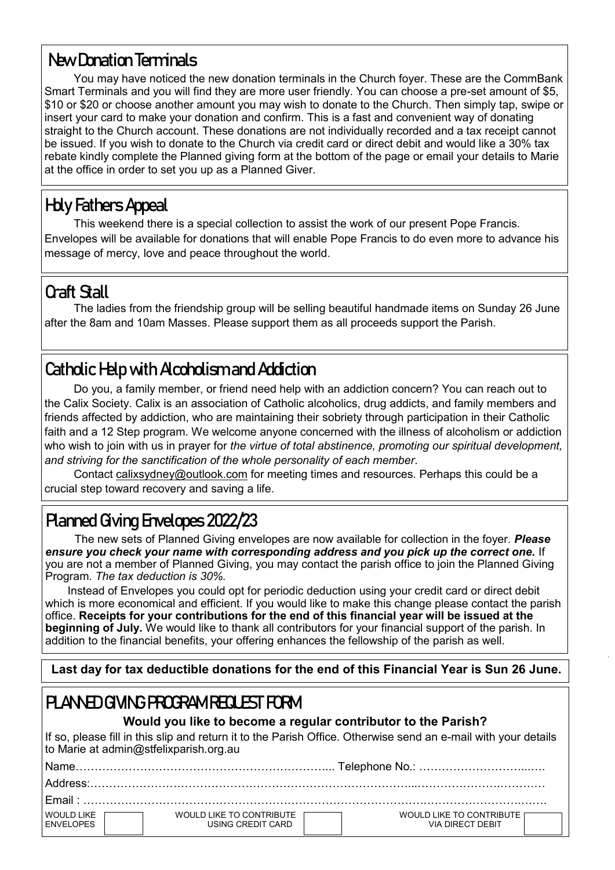### **New Donation Terminals**

You may have noticed the new donation terminals in the Church foyer. These are the CommBank Smart Terminals and you will find they are more user friendly. You can choose a pre-set amount of \$5, \$10 or \$20 or choose another amount you may wish to donate to the Church. Then simply tap, swipe or insert your card to make your donation and confirm. This is a fast and convenient way of donating straight to the Church account. These donations are not individually recorded and a tax receipt cannot be issued. If you wish to donate to the Church via credit card or direct debit and would like a 30% tax rebate kindly complete the Planned giving form at the bottom of the page or email your details to Marie at the office in order to set you up as a Planned Giver.

# **Holy Fathers Appeal**

This weekend there is a special collection to assist the work of our present Pope Francis. Envelopes will be available for donations that will enable Pope Francis to do even more to advance his message of mercy, love and peace throughout the world.

### **Craft Stall**

The ladies from the friendship group will be selling beautiful handmade items on Sunday 26 June after the 8am and 10am Masses. Please support them as all proceeds support the Parish.

# **Catholic Help with Alcoholism and Addiction**

Do you, a family member, or friend need help with an addiction concern? You can reach out to the Calix Society. Calix is an association of Catholic alcoholics, drug addicts, and family members and friends affected by addiction, who are maintaining their sobriety through participation in their Catholic faith and a 12 Step program. We welcome anyone concerned with the illness of alcoholism or addiction who wish to join with us in prayer for *the virtue of total abstinence, promoting our spiritual development, and striving for the sanctification of the whole personality of each member*.

Contact [calixsydney@outlook.com](mailto:calixsydney@outlook.com) for meeting times and resources. Perhaps this could be a crucial step toward recovery and saving a life.

# **Planned Giving Envelopes 2022/23**

The new sets of Planned Giving envelopes are now available for collection in the foyer. *Please ensure you check your name with corresponding address and you pick up the correct one.* If you are not a member of Planned Giving, you may contact the parish office to join the Planned Giving Program. *The tax deduction is 30%.* 

 Instead of Envelopes you could opt for periodic deduction using your credit card or direct debit which is more economical and efficient. If you would like to make this change please contact the parish office. **Receipts for your contributions for the end of this financial year will be issued at the beginning of July.** We would like to thank all contributors for your financial support of the parish. In addition to the financial benefits, your offering enhances the fellowship of the parish as well.

 **Last day for tax deductible donations for the end of this Financial Year is Sun 26 June.**

# **PLANNED GIVING PROGRAM REQUEST FORM**

#### **Would you like to become a regular contributor to the Parish?**

If so, please fill in this slip and return it to the Parish Office. Otherwise send an e-mail with your details to Marie at admin@stfelixparish.org.au

|                                |                                               | Address:                                        |  |  |  |  |
|--------------------------------|-----------------------------------------------|-------------------------------------------------|--|--|--|--|
|                                |                                               |                                                 |  |  |  |  |
| WOULD LIKE<br><b>ENVELOPES</b> | WOULD LIKE TO CONTRIBUTE<br>USING CREDIT CARD | WOULD LIKE TO CONTRIBUTE IT<br>VIA DIRECT DEBIT |  |  |  |  |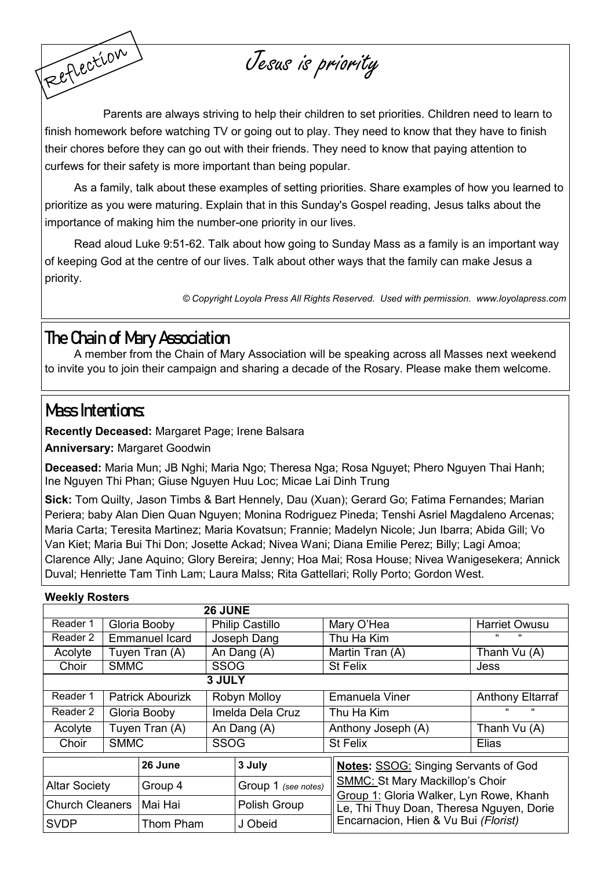Jesus is priority

Parents are always striving to help their children to set priorities. Children need to learn to finish homework before watching TV or going out to play. They need to know that they have to finish their chores before they can go out with their friends. They need to know that paying attention to curfews for their safety is more important than being popular.

As a family, talk about these examples of setting priorities. Share examples of how you learned to prioritize as you were maturing. Explain that in this Sunday's Gospel reading, Jesus talks about the importance of making him the number-one priority in our lives.

Read aloud Luke 9:51-62. Talk about how going to Sunday Mass as a family is an important way of keeping God at the centre of our lives. Talk about other ways that the family can make Jesus a priority.

*© Copyright Loyola Press All Rights Reserved. Used with permission. [www.loyolapress.com](http://www.loyolapress.com)*

### **The Chain of Mary Association**

A member from the Chain of Mary Association will be speaking across all Masses next weekend to invite you to join their campaign and sharing a decade of the Rosary. Please make them welcome.

### **Mass Intentions:**

Reflection

**Recently Deceased:** Margaret Page; Irene Balsara

**Anniversary:** Margaret Goodwin

**Deceased:** Maria Mun; JB Nghi; Maria Ngo; Theresa Nga; Rosa Nguyet; Phero Nguyen Thai Hanh; Ine Nguyen Thi Phan; Giuse Nguyen Huu Loc; Micae Lai Dinh Trung

**Sick:** Tom Quilty, Jason Timbs & Bart Hennely, Dau (Xuan); Gerard Go; Fatima Fernandes; Marian Periera; baby Alan Dien Quan Nguyen; Monina Rodriguez Pineda; Tenshi Asriel Magdaleno Arcenas; Maria Carta; Teresita Martinez; Maria Kovatsun; Frannie; Madelyn Nicole; Jun Ibarra; Abida Gill; Vo Van Kiet; Maria Bui Thi Don; Josette Ackad; Nivea Wani; Diana Emilie Perez; Billy; Lagi Amoa; Clarence Ally; Jane Aquino; Glory Bereira; Jenny; Hoa Mai; Rosa House; Nivea Wanigesekera; Annick Duval; Henriette Tam Tinh Lam; Laura Malss; Rita Gattellari; Rolly Porto; Gordon West.

# **3 JULY Weekly Rosters 26 JUNE** Reader 1 | Gloria Booby | Philip Castillo | Mary O'Hea | Harriet Owusu Reader 2 | Emmanuel Icard | Joseph Dang | Thu Ha Kim  $Acolute$  Tuyen Tran  $(A)$  An Dang  $(A)$  Martin Tran  $(A)$  Thanh Vu  $(A)$

| 1001                   |                         | 1 u y v 11 11 u 11 17 17 |                  | , ,,, Dang ,, ,,    |  | 1                                                                                                                                                                     | 111 UMI 11 V U (1 V)    |  |
|------------------------|-------------------------|--------------------------|------------------|---------------------|--|-----------------------------------------------------------------------------------------------------------------------------------------------------------------------|-------------------------|--|
| Choir                  | <b>SMMC</b>             |                          | <b>SSOG</b>      |                     |  | <b>St Felix</b>                                                                                                                                                       | Jess                    |  |
|                        |                         |                          | 3 JULY           |                     |  |                                                                                                                                                                       |                         |  |
| Reader 1               | <b>Patrick Abourizk</b> |                          | Robyn Molloy     |                     |  | <b>Emanuela Viner</b>                                                                                                                                                 | <b>Anthony Eltarraf</b> |  |
| Reader 2               | Gloria Booby            |                          | Imelda Dela Cruz |                     |  | Thu Ha Kim                                                                                                                                                            | "<br>"                  |  |
| Acolyte                |                         | Tuyen Tran (A)           | An Dang (A)      |                     |  | Anthony Joseph (A)                                                                                                                                                    | Thanh Vu (A)            |  |
| Choir                  | <b>SMMC</b>             |                          | <b>SSOG</b>      |                     |  | <b>St Felix</b>                                                                                                                                                       | Elias                   |  |
|                        |                         | 26 June                  |                  | 3 July              |  |                                                                                                                                                                       |                         |  |
|                        |                         |                          |                  |                     |  | <b>Notes: SSOG: Singing Servants of God</b>                                                                                                                           |                         |  |
| <b>Altar Society</b>   |                         | Group 4                  |                  | Group 1 (see notes) |  | <b>SMMC: St Mary Mackillop's Choir</b><br>Group 1: Gloria Walker, Lyn Rowe, Khanh<br>Le, Thi Thuy Doan, Theresa Nguyen, Dorie<br>Encarnacion, Hien & Vu Bui (Florist) |                         |  |
| <b>Church Cleaners</b> |                         | Mai Hai                  |                  | Polish Group        |  |                                                                                                                                                                       |                         |  |
| <b>SVDP</b>            |                         | Thom Pham                |                  | J Obeid             |  |                                                                                                                                                                       |                         |  |
|                        |                         |                          |                  |                     |  |                                                                                                                                                                       |                         |  |